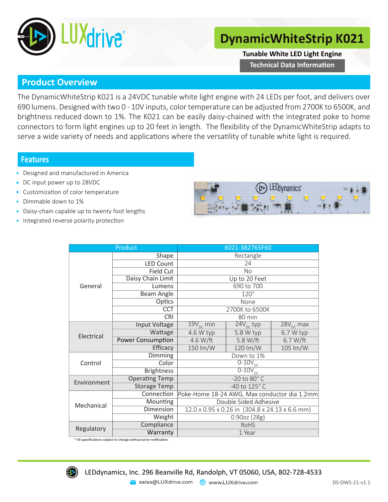

## **DynamicWhiteStrip K021**

**Tunable White LED Light Engine**

**Technical Data Information** 

## **Product Overview**

The DynamicWhiteStrip K021 is a 24VDC tunable white light engine with 24 LEDs per foot, and delivers over 690 lumens. Designed with two 0 - 10V inputs, color temperature can be adjusted from 2700K to 6500K, and brightness reduced down to 1%. The K021 can be easily daisy-chained with the integrated poke to home connectors to form light engines up to 20 feet in length. The flexibility of the DynamicWhiteStrip adapts to serve a wide variety of needs and applications where the versatility of tunable white light is required.

## **Features**

- Designed and manufactured in America
- DC input power up to 28VDC
- **Customization of color temperature**
- Dimmable down to 1%
- Daisy-chain capable up to twenty foot lengths
- Integrated reverse polarity protection



|             | Product                  | K021-382765F60                                 |                       |                       |  |  |
|-------------|--------------------------|------------------------------------------------|-----------------------|-----------------------|--|--|
| General     | Shape                    | Rectangle                                      |                       |                       |  |  |
|             | <b>LED Count</b>         | 24                                             |                       |                       |  |  |
|             | <b>Field Cut</b>         | No                                             |                       |                       |  |  |
|             | Daisy Chain Limit        | Up to 20 Feet                                  |                       |                       |  |  |
|             | Lumens                   | 690 to 700                                     |                       |                       |  |  |
|             | Beam Angle               | $120^\circ$                                    |                       |                       |  |  |
|             | Optics                   | None                                           |                       |                       |  |  |
|             | <b>CCT</b>               | 2700K to 6500K                                 |                       |                       |  |  |
|             | <b>CRI</b>               | 80 min                                         |                       |                       |  |  |
| Electrical  | <b>Input Voltage</b>     | $19V_{\text{pc}}$ min                          | $24V_{\text{nc}}$ typ | $28V_{\text{pc}}$ max |  |  |
|             | Wattage                  | 4.6 W typ                                      | 5.8 W typ             | 6.7 W typ             |  |  |
|             | <b>Power Consumption</b> | 4.6 W/ft                                       | 5.8 W/ft              | 6.7 W/ft              |  |  |
|             | Efficacy                 | 150 lm/W                                       | 120 lm/W              | 105 lm/W              |  |  |
| Control     | Dimming                  | Down to 1%                                     |                       |                       |  |  |
|             | Color                    | $\frac{1}{0.10V_{\text{DC}}}$                  |                       |                       |  |  |
|             | <b>Brightness</b>        | $\overline{0-10V}_{DC}$                        |                       |                       |  |  |
| Environment | <b>Operating Temp</b>    | -20 to 80° C                                   |                       |                       |  |  |
|             | <b>Storage Temp</b>      | -40 to 125° C                                  |                       |                       |  |  |
| Mechanical  | Connection               | Poke-Home 18-24 AWG, Max conductor dia 1.2mm   |                       |                       |  |  |
|             | Mounting                 | Double Sided Adhesive                          |                       |                       |  |  |
|             | Dimension                | 12.0 x 0.95 x 0.26 in (304.8 x 24.13 x 6.6 mm) |                       |                       |  |  |
|             | Weight                   | 0.90oz(28g)                                    |                       |                       |  |  |
| Regulatory  | Compliance               | <b>RoHS</b>                                    |                       |                       |  |  |
|             | Warranty                 | 1 Year                                         |                       |                       |  |  |

\* All specificaƟons subject to change without prior noƟficaƟon.